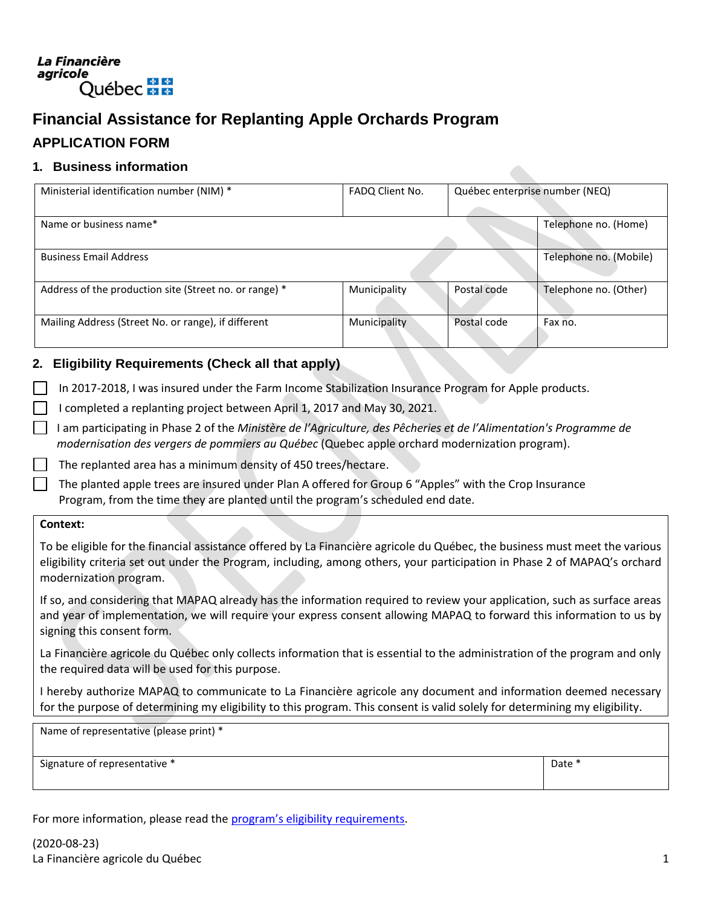## La Financière agricole Québec \* \*

# **Financial Assistance for Replanting Apple Orchards Program**

# **APPLICATION FORM**

## **1. Business information**

| Ministerial identification number (NIM) *              | FADQ Client No. | Québec enterprise number (NEQ) |                        |
|--------------------------------------------------------|-----------------|--------------------------------|------------------------|
|                                                        |                 |                                |                        |
| Name or business name*                                 |                 |                                | Telephone no. (Home)   |
| <b>Business Email Address</b>                          |                 |                                | Telephone no. (Mobile) |
| Address of the production site (Street no. or range) * | Municipality    | Postal code                    | Telephone no. (Other)  |
| Mailing Address (Street No. or range), if different    | Municipality    | Postal code                    | Fax no.                |

## **2. Eligibility Requirements (Check all that apply)**

In 2017-2018, I was insured under the Farm Income Stabilization Insurance Program for Apple products.

- I completed a replanting project between April 1, 2017 and May 30, 2021.
- I am participating in Phase 2 of the *Ministère de l'Agriculture, des Pêcheries et de l'Alimentation's Programme de modernisation des vergers de pommiers au Québec* (Quebec apple orchard modernization program).

The replanted area has a minimum density of 450 trees/hectare.

The planted apple trees are insured under Plan A offered for Group 6 "Apples" with the Crop Insurance Program, from the time they are planted until the program's scheduled end date.

#### **Context:**

To be eligible for the financial assistance offered by La Financière agricole du Québec, the business must meet the various eligibility criteria set out under the Program, including, among others, your participation in Phase 2 of MAPAQ's orchard modernization program.

If so, and considering that MAPAQ already has the information required to review your application, such as surface areas and year of implementation, we will require your express consent allowing MAPAQ to forward this information to us by signing this consent form.

La Financière agricole du Québec only collects information that is essential to the administration of the program and only the required data will be used for this purpose.

I hereby authorize MAPAQ to communicate to La Financière agricole any document and information deemed necessary for the purpose of determining my eligibility to this program. This consent is valid solely for determining my eligibility.

Name of representative (please print) \*

Signature of representative \* The state of the state of the state of the state of  $\Box$  Date \*

For more information, please read the program'[s eligibility requirements.](https://www.fadq.qc.ca/en/financial-assistance-for-replanting-apple-orchards/eligibility/)

(2020-08-23) La Financière agricole du Québec 1